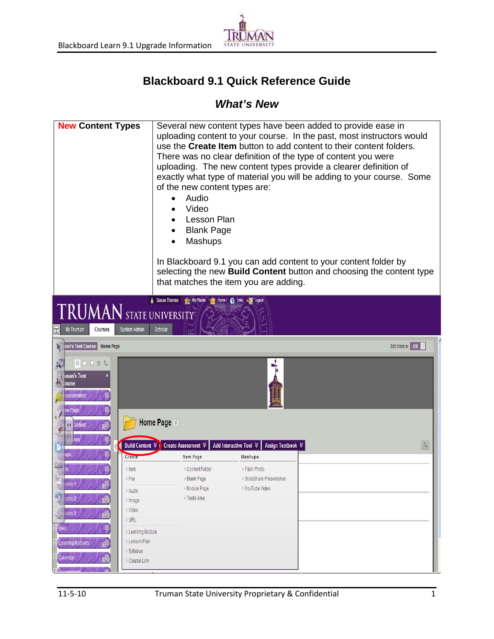

## **Blackboard 9.1 Quick Reference Guide**

## *What's New*

| <b>New Content Types</b>                                                                                                                                                          | of the new content types are:<br>Audio<br>Video<br><b>Lesson Plan</b><br><b>Blank Page</b><br>Mashups | Several new content types have been added to provide ease in<br>There was no clear definition of the type of content you were<br>uploading. The new content types provide a clearer definition of<br>In Blackboard 9.1 you can add content to your content folder by<br>that matches the item you are adding. | uploading content to your course. In the past, most instructors would<br>use the Create Item button to add content to their content folders.<br>exactly what type of material you will be adding to your course. Some<br>selecting the new Build Content button and choosing the content type |  |
|-----------------------------------------------------------------------------------------------------------------------------------------------------------------------------------|-------------------------------------------------------------------------------------------------------|---------------------------------------------------------------------------------------------------------------------------------------------------------------------------------------------------------------------------------------------------------------------------------------------------------------|-----------------------------------------------------------------------------------------------------------------------------------------------------------------------------------------------------------------------------------------------------------------------------------------------|--|
| My Places<br>Susan Thomas<br>Home 2 Help<br><b>TRUMAN</b> STATE UNIVERSITY<br>System Admin<br>Scholar<br> 1 <br>My Truman<br>Courses<br>Edit Mode is: ON<br>san's Test Course     |                                                                                                       |                                                                                                                                                                                                                                                                                                               |                                                                                                                                                                                                                                                                                               |  |
| Home Page<br>目口口ゅん<br>usan's Test<br>ourse<br>ouncements<br>ne Page<br>content                                                                                                    | Home Page $\,$                                                                                        | ۰.                                                                                                                                                                                                                                                                                                            |                                                                                                                                                                                                                                                                                               |  |
| Create                                                                                                                                                                            | Build Content ↓ Create Assessment ↓<br>New Page                                                       | Add Interactive Tool $\,$<br>Assign Textbook ↓<br>Mashups                                                                                                                                                                                                                                                     | 74                                                                                                                                                                                                                                                                                            |  |
| ▦<br>$\geq$ Item<br>$>$ File<br>щ<br>$\frac{1}{2}$ sion 1<br>$\mathbf{B}^{\mathbf{M}}$<br>> Audio<br>-9<br>sion 2<br>ď<br>> Image<br>> Video                                      | > Content Folder<br>> Blank Page<br>> Module Page<br>> Tools Area                                     | > Flickr Photo<br>> SlideShare Presentation<br>> YouTube Video                                                                                                                                                                                                                                                |                                                                                                                                                                                                                                                                                               |  |
| ision 3<br>eÑ<br>> URL<br>Help<br>> Learning Module<br>> Lesson Plan<br>Learning Modules<br>$e^{i\theta}$<br>> Syllabus<br>Calendar<br>aÑ,<br>> Course Link<br>Tv.<br>Annionmonth |                                                                                                       |                                                                                                                                                                                                                                                                                                               |                                                                                                                                                                                                                                                                                               |  |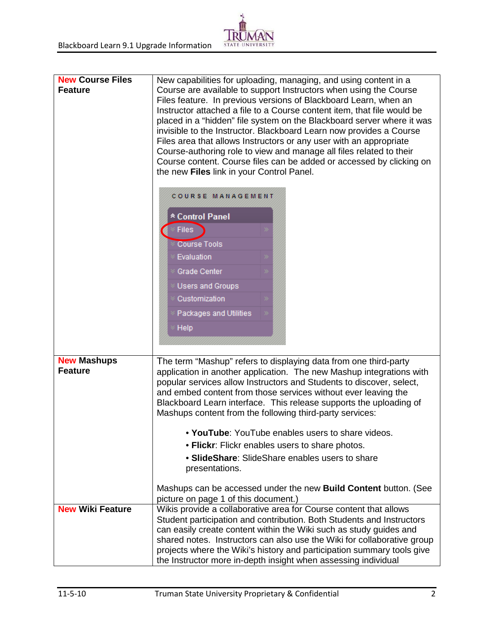## $S<sub>T</sub>$

| <b>New Course Files</b><br><b>Feature</b> | New capabilities for uploading, managing, and using content in a<br>Course are available to support Instructors when using the Course<br>Files feature. In previous versions of Blackboard Learn, when an<br>Instructor attached a file to a Course content item, that file would be<br>placed in a "hidden" file system on the Blackboard server where it was<br>invisible to the Instructor. Blackboard Learn now provides a Course<br>Files area that allows Instructors or any user with an appropriate<br>Course-authoring role to view and manage all files related to their<br>Course content. Course files can be added or accessed by clicking on<br>the new Files link in your Control Panel.<br>COURSE MANAGEMENT |  |  |
|-------------------------------------------|------------------------------------------------------------------------------------------------------------------------------------------------------------------------------------------------------------------------------------------------------------------------------------------------------------------------------------------------------------------------------------------------------------------------------------------------------------------------------------------------------------------------------------------------------------------------------------------------------------------------------------------------------------------------------------------------------------------------------|--|--|
|                                           | * Control Panel<br><b>Files</b><br><b>Course Tools</b><br>Evaluation<br>Grade Center<br><b>Users and Groups</b><br>Customization<br>Packages and Utilities<br>Help                                                                                                                                                                                                                                                                                                                                                                                                                                                                                                                                                           |  |  |
| <b>New Mashups</b><br><b>Feature</b>      | The term "Mashup" refers to displaying data from one third-party<br>application in another application. The new Mashup integrations with<br>popular services allow Instructors and Students to discover, select,<br>and embed content from those services without ever leaving the<br>Blackboard Learn interface. This release supports the uploading of<br>Mashups content from the following third-party services:<br>• YouTube: YouTube enables users to share videos.<br>. Flickr: Flickr enables users to share photos.<br>• SlideShare: SlideShare enables users to share<br>presentations.<br>Mashups can be accessed under the new Build Content button. (See                                                        |  |  |
| <b>New Wiki Feature</b>                   | picture on page 1 of this document.)<br>Wikis provide a collaborative area for Course content that allows<br>Student participation and contribution. Both Students and Instructors<br>can easily create content within the Wiki such as study guides and<br>shared notes. Instructors can also use the Wiki for collaborative group<br>projects where the Wiki's history and participation summary tools give<br>the Instructor more in-depth insight when assessing individual                                                                                                                                                                                                                                              |  |  |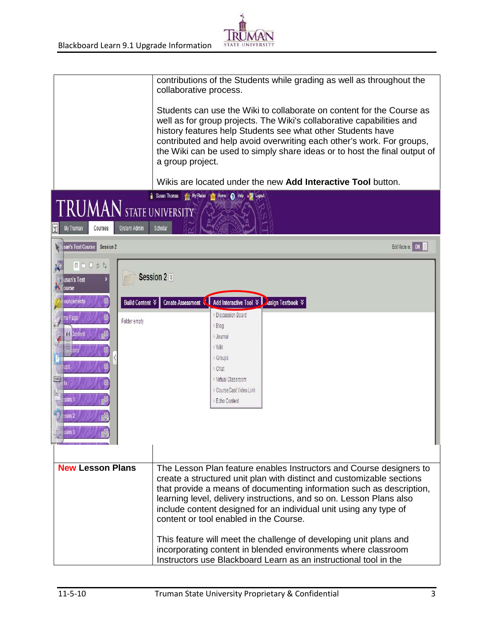

| <b>TRUMAN</b> STATE UNIVERSITY                                                                                                                 | contributions of the Students while grading as well as throughout the<br>collaborative process.<br>Students can use the Wiki to collaborate on content for the Course as<br>well as for group projects. The Wiki's collaborative capabilities and<br>history features help Students see what other Students have<br>contributed and help avoid overwriting each other's work. For groups,<br>the Wiki can be used to simply share ideas or to host the final output of<br>a group project.<br>Wikis are located under the new Add Interactive Tool button.<br>My Places mill Home @ Help will Logout<br>Susan Thomas |
|------------------------------------------------------------------------------------------------------------------------------------------------|----------------------------------------------------------------------------------------------------------------------------------------------------------------------------------------------------------------------------------------------------------------------------------------------------------------------------------------------------------------------------------------------------------------------------------------------------------------------------------------------------------------------------------------------------------------------------------------------------------------------|
| System Admin<br>My Truman<br><b>Courses</b>                                                                                                    | Scholar                                                                                                                                                                                                                                                                                                                                                                                                                                                                                                                                                                                                              |
| san's Test Course<br>Session 2                                                                                                                 | Edit Mode is: ON                                                                                                                                                                                                                                                                                                                                                                                                                                                                                                                                                                                                     |
| 目口口ゅん<br>usan's Test<br>ourse<br>ouncements<br>Build Content $\forall$<br>ne Page<br>Folder empty<br>Content<br>ups<br>W<br>ision 1<br>ssion 2 | Session 2 %<br>Create Assessment ↓ Add Interactive Tool ↓ Assign Textbook ↓<br><b>Discussion Board</b><br>$>$ Blog<br>> Journal<br>> Wiki<br>> Groups<br>> Chat<br>> Virtual Classroom<br>> CourseCast Video Link<br>Echo Content                                                                                                                                                                                                                                                                                                                                                                                    |
| <b>New Lesson Plans</b>                                                                                                                        | The Lesson Plan feature enables Instructors and Course designers to<br>create a structured unit plan with distinct and customizable sections<br>that provide a means of documenting information such as description,<br>learning level, delivery instructions, and so on. Lesson Plans also<br>include content designed for an individual unit using any type of<br>content or tool enabled in the Course.<br>This feature will meet the challenge of developing unit plans and<br>incorporating content in blended environments where classroom<br>Instructors use Blackboard Learn as an instructional tool in the |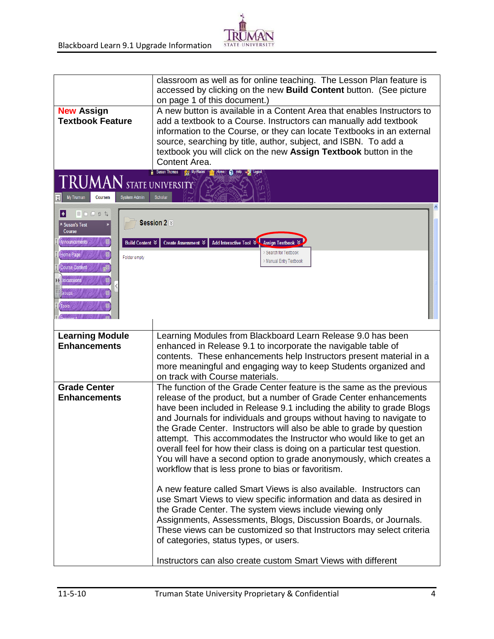

|                                                                                                                                          | classroom as well as for online teaching. The Lesson Plan feature is<br>accessed by clicking on the new Build Content button. (See picture                                                                                                                                                                                                                                                                                                                                                                                                                                                                                                          |  |
|------------------------------------------------------------------------------------------------------------------------------------------|-----------------------------------------------------------------------------------------------------------------------------------------------------------------------------------------------------------------------------------------------------------------------------------------------------------------------------------------------------------------------------------------------------------------------------------------------------------------------------------------------------------------------------------------------------------------------------------------------------------------------------------------------------|--|
|                                                                                                                                          | on page 1 of this document.)                                                                                                                                                                                                                                                                                                                                                                                                                                                                                                                                                                                                                        |  |
| <b>New Assign</b><br><b>Textbook Feature</b>                                                                                             | A new button is available in a Content Area that enables Instructors to<br>add a textbook to a Course. Instructors can manually add textbook<br>information to the Course, or they can locate Textbooks in an external<br>source, searching by title, author, subject, and ISBN. To add a<br>textbook you will click on the new Assign Textbook button in the<br>Content Area.                                                                                                                                                                                                                                                                      |  |
| <b>Courses</b><br>My Truman                                                                                                              | Susan Thomas 1981 My Places<br><b>THE Home Q</b> Help<br>$\textsf{T}\textbf{RUMAN}$ state university<br>Scholar<br><b>System Admin</b>                                                                                                                                                                                                                                                                                                                                                                                                                                                                                                              |  |
| 目口口 9 4<br>H<br>* Susan's Test<br>Course<br>Announcements<br>Home Page<br>Course Content<br><b>liscussions</b><br><b>Sroups</b><br>Tools | Session 2<br>Add Interactive Tool &<br><b>Build Content ☆</b><br>Create Assessment ☆<br><b>Assign Textbook</b><br>Search for Textbook<br>Folder empty<br>Manual Entry Textbook                                                                                                                                                                                                                                                                                                                                                                                                                                                                      |  |
|                                                                                                                                          |                                                                                                                                                                                                                                                                                                                                                                                                                                                                                                                                                                                                                                                     |  |
| <b>Learning Module</b><br><b>Enhancements</b>                                                                                            | Learning Modules from Blackboard Learn Release 9.0 has been<br>enhanced in Release 9.1 to incorporate the navigable table of<br>contents. These enhancements help Instructors present material in a<br>more meaningful and engaging way to keep Students organized and<br>on track with Course materials.                                                                                                                                                                                                                                                                                                                                           |  |
| <b>Grade Center</b><br><b>Enhancements</b>                                                                                               | The function of the Grade Center feature is the same as the previous<br>release of the product, but a number of Grade Center enhancements<br>have been included in Release 9.1 including the ability to grade Blogs<br>and Journals for individuals and groups without having to navigate to<br>the Grade Center. Instructors will also be able to grade by question<br>attempt. This accommodates the Instructor who would like to get an<br>overall feel for how their class is doing on a particular test question.<br>You will have a second option to grade anonymously, which creates a<br>workflow that is less prone to bias or favoritism. |  |
|                                                                                                                                          | A new feature called Smart Views is also available. Instructors can<br>use Smart Views to view specific information and data as desired in<br>the Grade Center. The system views include viewing only<br>Assignments, Assessments, Blogs, Discussion Boards, or Journals.<br>These views can be customized so that Instructors may select criteria<br>of categories, status types, or users.                                                                                                                                                                                                                                                        |  |
|                                                                                                                                          | Instructors can also create custom Smart Views with different                                                                                                                                                                                                                                                                                                                                                                                                                                                                                                                                                                                       |  |